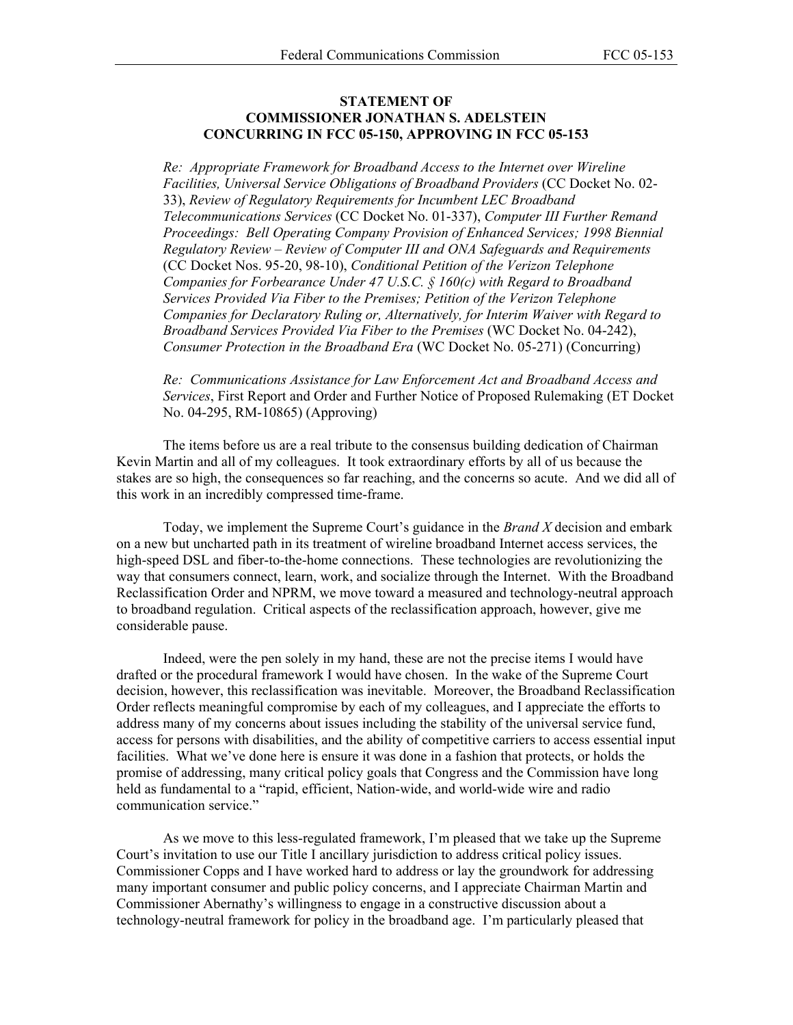## **STATEMENT OF COMMISSIONER JONATHAN S. ADELSTEIN CONCURRING IN FCC 05-150, APPROVING IN FCC 05-153**

*Re: Appropriate Framework for Broadband Access to the Internet over Wireline Facilities, Universal Service Obligations of Broadband Providers* (CC Docket No. 02- 33), *Review of Regulatory Requirements for Incumbent LEC Broadband Telecommunications Services* (CC Docket No. 01-337), *Computer III Further Remand Proceedings: Bell Operating Company Provision of Enhanced Services; 1998 Biennial Regulatory Review – Review of Computer III and ONA Safeguards and Requirements*  (CC Docket Nos. 95-20, 98-10), *Conditional Petition of the Verizon Telephone Companies for Forbearance Under 47 U.S.C. § 160(c) with Regard to Broadband Services Provided Via Fiber to the Premises; Petition of the Verizon Telephone Companies for Declaratory Ruling or, Alternatively, for Interim Waiver with Regard to Broadband Services Provided Via Fiber to the Premises* (WC Docket No. 04-242), *Consumer Protection in the Broadband Era* (WC Docket No. 05-271) (Concurring)

*Re: Communications Assistance for Law Enforcement Act and Broadband Access and Services*, First Report and Order and Further Notice of Proposed Rulemaking (ET Docket No. 04-295, RM-10865) (Approving)

The items before us are a real tribute to the consensus building dedication of Chairman Kevin Martin and all of my colleagues. It took extraordinary efforts by all of us because the stakes are so high, the consequences so far reaching, and the concerns so acute. And we did all of this work in an incredibly compressed time-frame.

Today, we implement the Supreme Court's guidance in the *Brand X* decision and embark on a new but uncharted path in its treatment of wireline broadband Internet access services, the high-speed DSL and fiber-to-the-home connections. These technologies are revolutionizing the way that consumers connect, learn, work, and socialize through the Internet. With the Broadband Reclassification Order and NPRM, we move toward a measured and technology-neutral approach to broadband regulation. Critical aspects of the reclassification approach, however, give me considerable pause.

Indeed, were the pen solely in my hand, these are not the precise items I would have drafted or the procedural framework I would have chosen. In the wake of the Supreme Court decision, however, this reclassification was inevitable. Moreover, the Broadband Reclassification Order reflects meaningful compromise by each of my colleagues, and I appreciate the efforts to address many of my concerns about issues including the stability of the universal service fund, access for persons with disabilities, and the ability of competitive carriers to access essential input facilities. What we've done here is ensure it was done in a fashion that protects, or holds the promise of addressing, many critical policy goals that Congress and the Commission have long held as fundamental to a "rapid, efficient, Nation-wide, and world-wide wire and radio communication service."

As we move to this less-regulated framework, I'm pleased that we take up the Supreme Court's invitation to use our Title I ancillary jurisdiction to address critical policy issues. Commissioner Copps and I have worked hard to address or lay the groundwork for addressing many important consumer and public policy concerns, and I appreciate Chairman Martin and Commissioner Abernathy's willingness to engage in a constructive discussion about a technology-neutral framework for policy in the broadband age. I'm particularly pleased that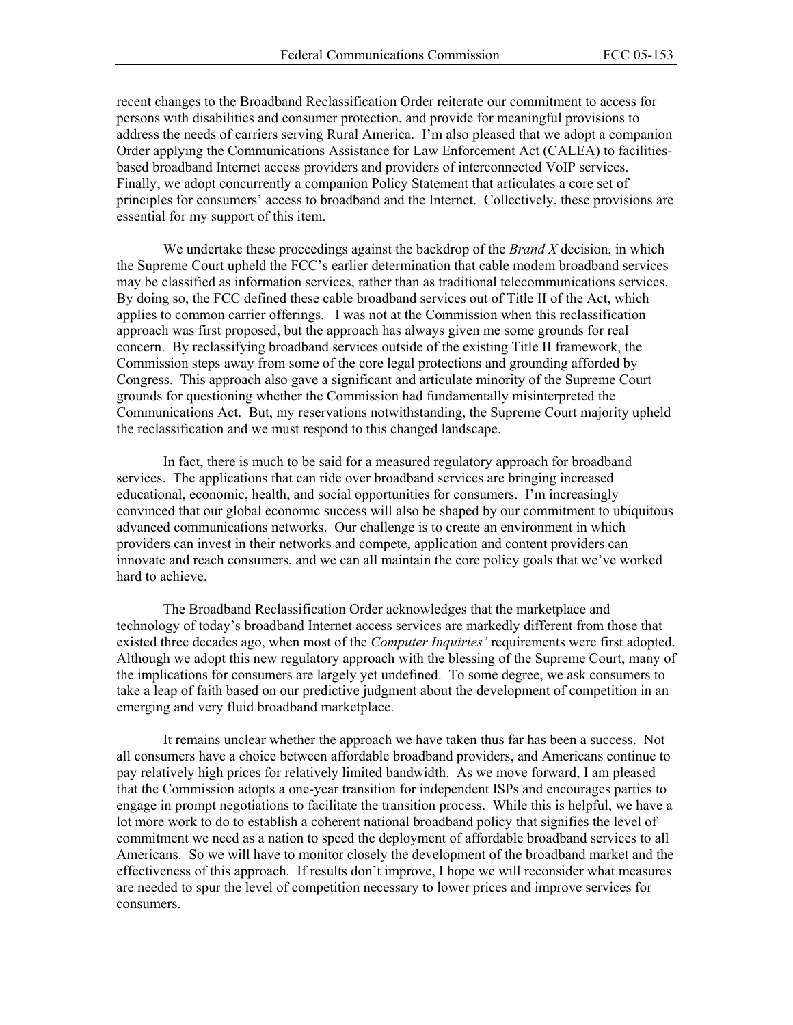recent changes to the Broadband Reclassification Order reiterate our commitment to access for persons with disabilities and consumer protection, and provide for meaningful provisions to address the needs of carriers serving Rural America. I'm also pleased that we adopt a companion Order applying the Communications Assistance for Law Enforcement Act (CALEA) to facilitiesbased broadband Internet access providers and providers of interconnected VoIP services. Finally, we adopt concurrently a companion Policy Statement that articulates a core set of principles for consumers' access to broadband and the Internet. Collectively, these provisions are essential for my support of this item.

We undertake these proceedings against the backdrop of the *Brand X* decision, in which the Supreme Court upheld the FCC's earlier determination that cable modem broadband services may be classified as information services, rather than as traditional telecommunications services. By doing so, the FCC defined these cable broadband services out of Title II of the Act, which applies to common carrier offerings. I was not at the Commission when this reclassification approach was first proposed, but the approach has always given me some grounds for real concern. By reclassifying broadband services outside of the existing Title II framework, the Commission steps away from some of the core legal protections and grounding afforded by Congress. This approach also gave a significant and articulate minority of the Supreme Court grounds for questioning whether the Commission had fundamentally misinterpreted the Communications Act. But, my reservations notwithstanding, the Supreme Court majority upheld the reclassification and we must respond to this changed landscape.

In fact, there is much to be said for a measured regulatory approach for broadband services. The applications that can ride over broadband services are bringing increased educational, economic, health, and social opportunities for consumers. I'm increasingly convinced that our global economic success will also be shaped by our commitment to ubiquitous advanced communications networks. Our challenge is to create an environment in which providers can invest in their networks and compete, application and content providers can innovate and reach consumers, and we can all maintain the core policy goals that we've worked hard to achieve.

The Broadband Reclassification Order acknowledges that the marketplace and technology of today's broadband Internet access services are markedly different from those that existed three decades ago, when most of the *Computer Inquiries'* requirements were first adopted. Although we adopt this new regulatory approach with the blessing of the Supreme Court, many of the implications for consumers are largely yet undefined. To some degree, we ask consumers to take a leap of faith based on our predictive judgment about the development of competition in an emerging and very fluid broadband marketplace.

It remains unclear whether the approach we have taken thus far has been a success. Not all consumers have a choice between affordable broadband providers, and Americans continue to pay relatively high prices for relatively limited bandwidth. As we move forward, I am pleased that the Commission adopts a one-year transition for independent ISPs and encourages parties to engage in prompt negotiations to facilitate the transition process. While this is helpful, we have a lot more work to do to establish a coherent national broadband policy that signifies the level of commitment we need as a nation to speed the deployment of affordable broadband services to all Americans. So we will have to monitor closely the development of the broadband market and the effectiveness of this approach. If results don't improve, I hope we will reconsider what measures are needed to spur the level of competition necessary to lower prices and improve services for consumers.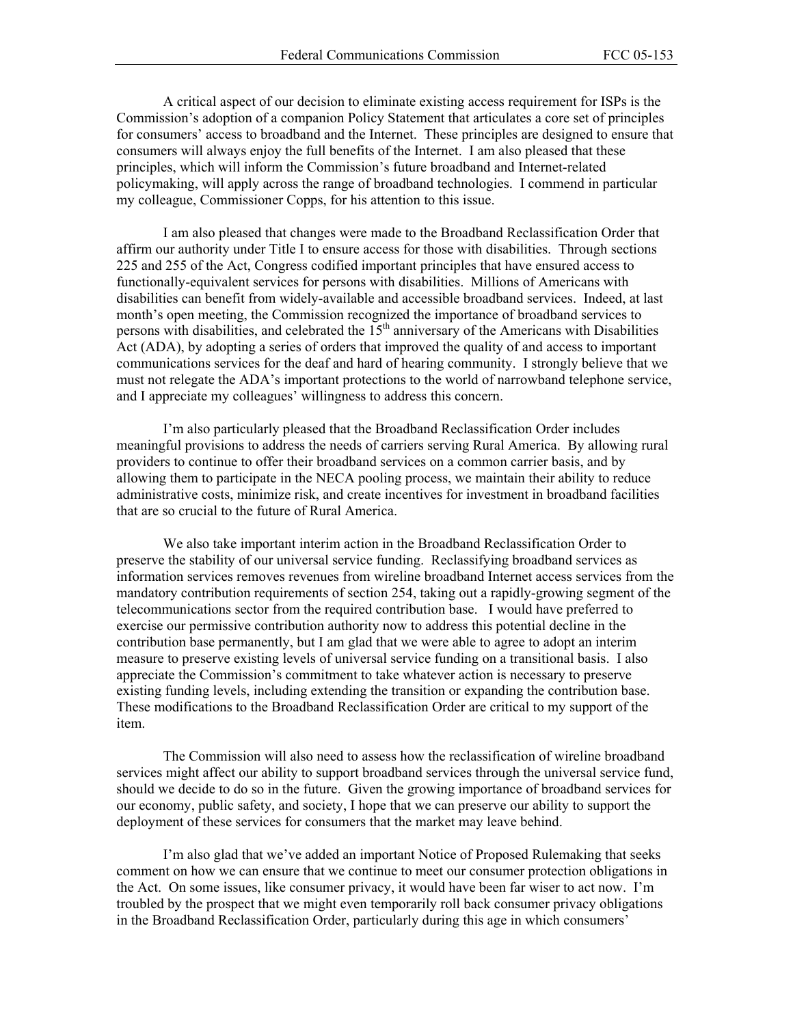A critical aspect of our decision to eliminate existing access requirement for ISPs is the Commission's adoption of a companion Policy Statement that articulates a core set of principles for consumers' access to broadband and the Internet. These principles are designed to ensure that consumers will always enjoy the full benefits of the Internet. I am also pleased that these principles, which will inform the Commission's future broadband and Internet-related policymaking, will apply across the range of broadband technologies. I commend in particular my colleague, Commissioner Copps, for his attention to this issue.

I am also pleased that changes were made to the Broadband Reclassification Order that affirm our authority under Title I to ensure access for those with disabilities. Through sections 225 and 255 of the Act, Congress codified important principles that have ensured access to functionally-equivalent services for persons with disabilities. Millions of Americans with disabilities can benefit from widely-available and accessible broadband services. Indeed, at last month's open meeting, the Commission recognized the importance of broadband services to persons with disabilities, and celebrated the  $15<sup>th</sup>$  anniversary of the Americans with Disabilities Act (ADA), by adopting a series of orders that improved the quality of and access to important communications services for the deaf and hard of hearing community. I strongly believe that we must not relegate the ADA's important protections to the world of narrowband telephone service, and I appreciate my colleagues' willingness to address this concern.

I'm also particularly pleased that the Broadband Reclassification Order includes meaningful provisions to address the needs of carriers serving Rural America. By allowing rural providers to continue to offer their broadband services on a common carrier basis, and by allowing them to participate in the NECA pooling process, we maintain their ability to reduce administrative costs, minimize risk, and create incentives for investment in broadband facilities that are so crucial to the future of Rural America.

We also take important interim action in the Broadband Reclassification Order to preserve the stability of our universal service funding. Reclassifying broadband services as information services removes revenues from wireline broadband Internet access services from the mandatory contribution requirements of section 254, taking out a rapidly-growing segment of the telecommunications sector from the required contribution base. I would have preferred to exercise our permissive contribution authority now to address this potential decline in the contribution base permanently, but I am glad that we were able to agree to adopt an interim measure to preserve existing levels of universal service funding on a transitional basis. I also appreciate the Commission's commitment to take whatever action is necessary to preserve existing funding levels, including extending the transition or expanding the contribution base. These modifications to the Broadband Reclassification Order are critical to my support of the item.

The Commission will also need to assess how the reclassification of wireline broadband services might affect our ability to support broadband services through the universal service fund, should we decide to do so in the future. Given the growing importance of broadband services for our economy, public safety, and society, I hope that we can preserve our ability to support the deployment of these services for consumers that the market may leave behind.

I'm also glad that we've added an important Notice of Proposed Rulemaking that seeks comment on how we can ensure that we continue to meet our consumer protection obligations in the Act. On some issues, like consumer privacy, it would have been far wiser to act now. I'm troubled by the prospect that we might even temporarily roll back consumer privacy obligations in the Broadband Reclassification Order, particularly during this age in which consumers'